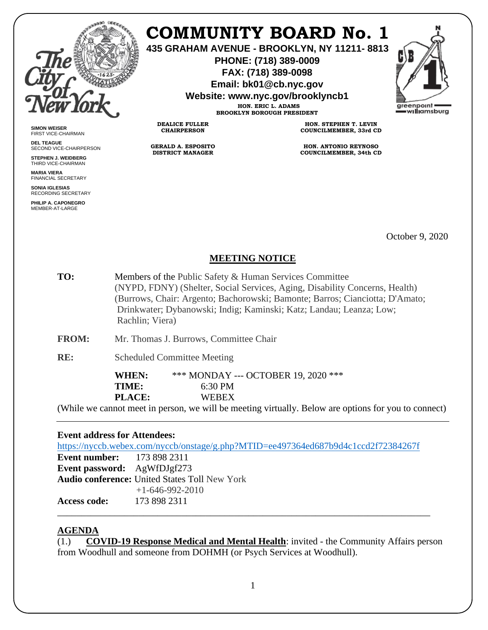

**SIMON WEISER** FIRST VICE-CHAIRMAN **DEL TEAGUE**

SECOND VICE-CHAIRPERSON **STEPHEN J. WEIDBERG** THIRD VICE-CHAIRMAN **MARIA VIERA** FINANCIAL SECRETARY **SONIA IGLESIAS** RECORDING SECRETARY **PHILIP A. CAPONEGRO** MEMBER-AT-LARGE

# **COMMUNITY BOARD No. 1**

**435 GRAHAM AVENUE - BROOKLYN, NY 11211- 8813**

**PHONE: (718) 389-0009 FAX: (718) 389-0098**

**Email: bk01@cb.nyc.gov**

**Website: www.nyc.gov/brooklyncb1**

**HON. ERIC L. ADAMS BROOKLYN BOROUGH PRESIDENT**

**DEALICE FULLER CHAIRPERSON**

**GERALD A. ESPOSITO DISTRICT MANAGER**

**HON. STEPHEN T. LEVIN COUNCILMEMBER, 33rd CD**

**HON. ANTONIO REYNOSO COUNCILMEMBER, 34th CD**

October 9, 2020

### **MEETING NOTICE**

**TO:** Members of the Public Safety & Human Services Committee (NYPD, FDNY) (Shelter, Social Services, Aging, Disability Concerns, Health) (Burrows, Chair: Argento; Bachorowski; Bamonte; Barros; Cianciotta; D'Amato; Drinkwater; Dybanowski; Indig; Kaminski; Katz; Landau; Leanza; Low; Rachlin; Viera)

**FROM:** Mr. Thomas J. Burrows, Committee Chair

**RE:** Scheduled Committee Meeting

**WHEN:** \*\*\* MONDAY --- OCTOBER 19, 2020 \*\*\* **TIME:** 6:30 PM **PLACE:** WEBEX

(While we cannot meet in person, we will be meeting virtually. Below are options for you to connect)

#### **Event address for Attendees:**

<https://nyccb.webex.com/nyccb/onstage/g.php?MTID=ee497364ed687b9d4c1ccd2f72384267f>

**Event number:** 173 898 2311 **Event password:** AgWfDJgf273 **Audio conference:** United States Toll New York +1-646-992-2010 **Access code:** 173 898 2311

#### **AGENDA**

(1.) **COVID-19 Response Medical and Mental Health**: invited - the Community Affairs person from Woodhull and someone from DOHMH (or Psych Services at Woodhull).

\_\_\_\_\_\_\_\_\_\_\_\_\_\_\_\_\_\_\_\_\_\_\_\_\_\_\_\_\_\_\_\_\_\_\_\_\_\_\_\_\_\_\_\_\_\_\_\_\_\_\_\_\_\_\_\_\_\_\_\_\_\_\_\_\_\_\_\_\_\_\_\_\_\_\_\_\_\_